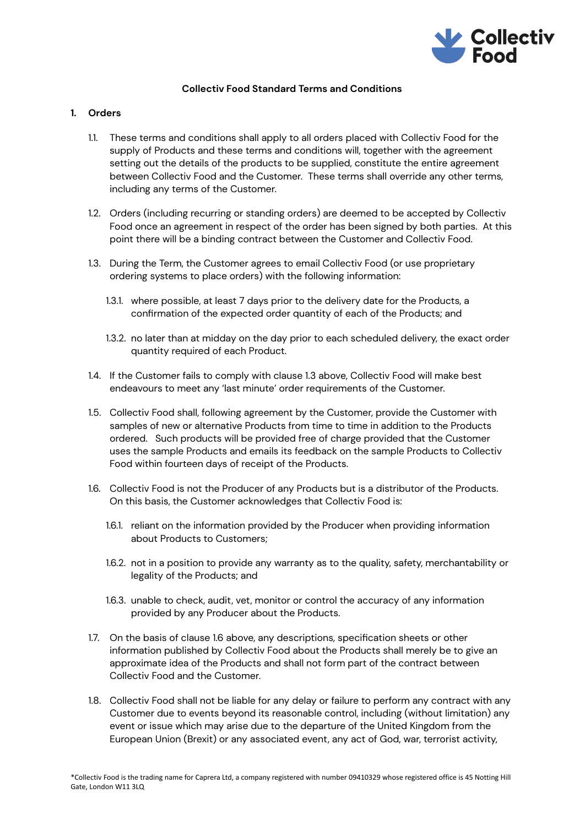

# **Collectiv Food Standard Terms and Conditions**

# **1. Orders**

- 1.1. These terms and conditions shall apply to all orders placed with Collectiv Food for the supply of Products and these terms and conditions will, together with the agreement setting out the details of the products to be supplied, constitute the entire agreement between Collectiv Food and the Customer. These terms shall override any other terms, including any terms of the Customer.
- 1.2. Orders (including recurring or standing orders) are deemed to be accepted by Collectiv Food once an agreement in respect of the order has been signed by both parties. At this point there will be a binding contract between the Customer and Collectiv Food.
- 1.3. During the Term, the Customer agrees to email Collectiv Food (or use proprietary ordering systems to place orders) with the following information:
	- 1.3.1. where possible, at least 7 days prior to the delivery date for the Products, a confirmation of the expected order quantity of each of the Products; and
	- 1.3.2. no later than at midday on the day prior to each scheduled delivery, the exact order quantity required of each Product.
- 1.4. If the Customer fails to comply with clause 1.3 above, Collectiv Food will make best endeavours to meet any 'last minute' order requirements of the Customer.
- 1.5. Collectiv Food shall, following agreement by the Customer, provide the Customer with samples of new or alternative Products from time to time in addition to the Products ordered. Such products will be provided free of charge provided that the Customer uses the sample Products and emails its feedback on the sample Products to Collectiv Food within fourteen days of receipt of the Products.
- 1.6. Collectiv Food is not the Producer of any Products but is a distributor of the Products. On this basis, the Customer acknowledges that Collectiv Food is:
	- 1.6.1. reliant on the information provided by the Producer when providing information about Products to Customers;
	- 1.6.2. not in a position to provide any warranty as to the quality, safety, merchantability or legality of the Products; and
	- 1.6.3. unable to check, audit, vet, monitor or control the accuracy of any information provided by any Producer about the Products.
- 1.7. On the basis of clause 1.6 above, any descriptions, specification sheets or other information published by Collectiv Food about the Products shall merely be to give an approximate idea of the Products and shall not form part of the contract between Collectiv Food and the Customer.
- 1.8. Collectiv Food shall not be liable for any delay or failure to perform any contract with any Customer due to events beyond its reasonable control, including (without limitation) any event or issue which may arise due to the departure of the United Kingdom from the European Union (Brexit) or any associated event, any act of God, war, terrorist activity,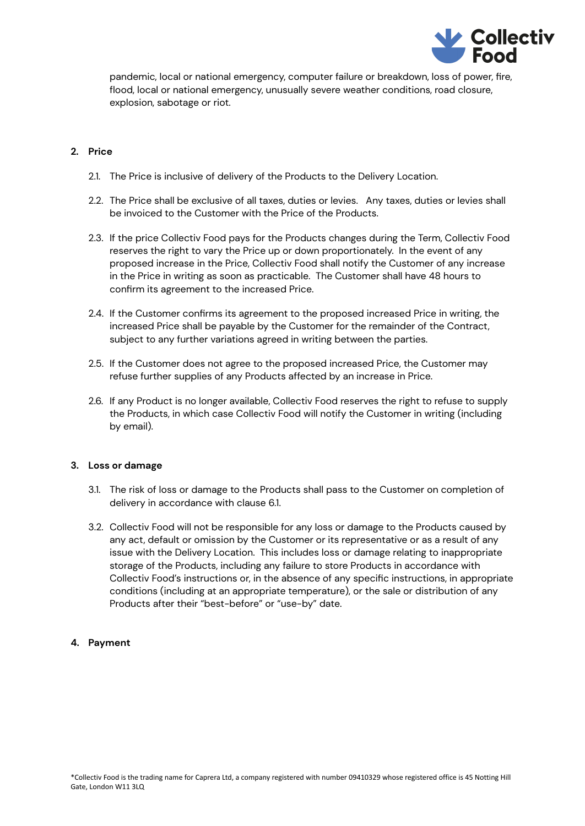

pandemic, local or national emergency, computer failure or breakdown, loss of power, fire, flood, local or national emergency, unusually severe weather conditions, road closure, explosion, sabotage or riot.

# **2. Price**

- 2.1. The Price is inclusive of delivery of the Products to the Delivery Location.
- 2.2. The Price shall be exclusive of all taxes, duties or levies. Any taxes, duties or levies shall be invoiced to the Customer with the Price of the Products.
- 2.3. If the price Collectiv Food pays for the Products changes during the Term, Collectiv Food reserves the right to vary the Price up or down proportionately. In the event of any proposed increase in the Price, Collectiv Food shall notify the Customer of any increase in the Price in writing as soon as practicable. The Customer shall have 48 hours to confirm its agreement to the increased Price.
- 2.4. If the Customer confirms its agreement to the proposed increased Price in writing, the increased Price shall be payable by the Customer for the remainder of the Contract, subject to any further variations agreed in writing between the parties.
- 2.5. If the Customer does not agree to the proposed increased Price, the Customer may refuse further supplies of any Products affected by an increase in Price.
- 2.6. If any Product is no longer available, Collectiv Food reserves the right to refuse to supply the Products, in which case Collectiv Food will notify the Customer in writing (including by email).

# **3. Loss or damage**

- 3.1. The risk of loss or damage to the Products shall pass to the Customer on completion of delivery in accordance with clause 6.1.
- 3.2. Collectiv Food will not be responsible for any loss or damage to the Products caused by any act, default or omission by the Customer or its representative or as a result of any issue with the Delivery Location. This includes loss or damage relating to inappropriate storage of the Products, including any failure to store Products in accordance with Collectiv Food's instructions or, in the absence of any specific instructions, in appropriate conditions (including at an appropriate temperature), or the sale or distribution of any Products after their "best-before" or "use-by" date.

# **4. Payment**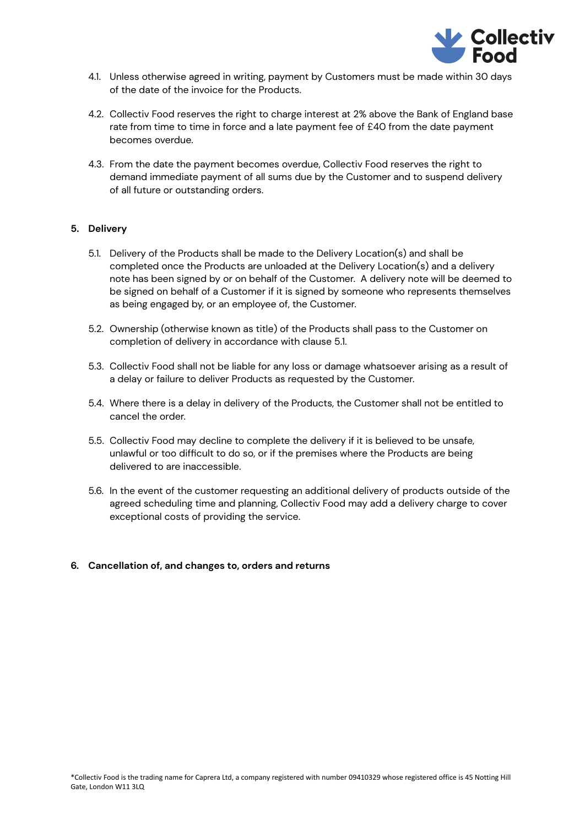

- 4.1. Unless otherwise agreed in writing, payment by Customers must be made within 30 days of the date of the invoice for the Products.
- 4.2. Collectiv Food reserves the right to charge interest at 2% above the Bank of England base rate from time to time in force and a late payment fee of £40 from the date payment becomes overdue.
- 4.3. From the date the payment becomes overdue, Collectiv Food reserves the right to demand immediate payment of all sums due by the Customer and to suspend delivery of all future or outstanding orders.

### **5. Delivery**

- 5.1. Delivery of the Products shall be made to the Delivery Location(s) and shall be completed once the Products are unloaded at the Delivery Location(s) and a delivery note has been signed by or on behalf of the Customer. A delivery note will be deemed to be signed on behalf of a Customer if it is signed by someone who represents themselves as being engaged by, or an employee of, the Customer.
- 5.2. Ownership (otherwise known as title) of the Products shall pass to the Customer on completion of delivery in accordance with clause 5.1.
- 5.3. Collectiv Food shall not be liable for any loss or damage whatsoever arising as a result of a delay or failure to deliver Products as requested by the Customer.
- 5.4. Where there is a delay in delivery of the Products, the Customer shall not be entitled to cancel the order.
- 5.5. Collectiv Food may decline to complete the delivery if it is believed to be unsafe, unlawful or too difficult to do so, or if the premises where the Products are being delivered to are inaccessible.
- 5.6. In the event of the customer requesting an additional delivery of products outside of the agreed scheduling time and planning, Collectiv Food may add a delivery charge to cover exceptional costs of providing the service.

#### **6. Cancellation of, and changes to, orders and returns**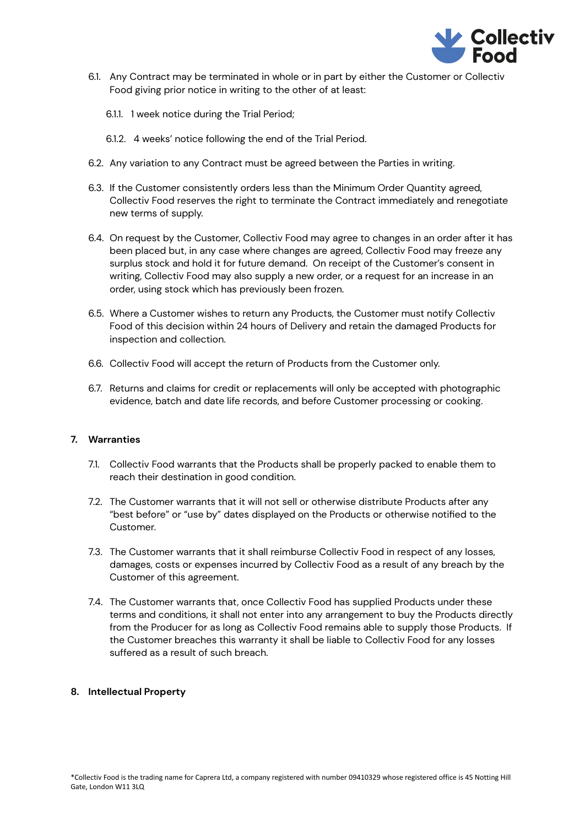

- 6.1. Any Contract may be terminated in whole or in part by either the Customer or Collectiv Food giving prior notice in writing to the other of at least:
	- 6.1.1. 1 week notice during the Trial Period;
	- 6.1.2. 4 weeks' notice following the end of the Trial Period.
- 6.2. Any variation to any Contract must be agreed between the Parties in writing.
- 6.3. If the Customer consistently orders less than the Minimum Order Quantity agreed, Collectiv Food reserves the right to terminate the Contract immediately and renegotiate new terms of supply.
- 6.4. On request by the Customer, Collectiv Food may agree to changes in an order after it has been placed but, in any case where changes are agreed, Collectiv Food may freeze any surplus stock and hold it for future demand. On receipt of the Customer's consent in writing, Collectiv Food may also supply a new order, or a request for an increase in an order, using stock which has previously been frozen.
- 6.5. Where a Customer wishes to return any Products, the Customer must notify Collectiv Food of this decision within 24 hours of Delivery and retain the damaged Products for inspection and collection.
- 6.6. Collectiv Food will accept the return of Products from the Customer only.
- 6.7. Returns and claims for credit or replacements will only be accepted with photographic evidence, batch and date life records, and before Customer processing or cooking.

### **7. Warranties**

- 7.1. Collectiv Food warrants that the Products shall be properly packed to enable them to reach their destination in good condition.
- 7.2. The Customer warrants that it will not sell or otherwise distribute Products after any "best before" or "use by" dates displayed on the Products or otherwise notified to the Customer.
- 7.3. The Customer warrants that it shall reimburse Collectiv Food in respect of any losses, damages, costs or expenses incurred by Collectiv Food as a result of any breach by the Customer of this agreement.
- 7.4. The Customer warrants that, once Collectiv Food has supplied Products under these terms and conditions, it shall not enter into any arrangement to buy the Products directly from the Producer for as long as Collectiv Food remains able to supply those Products. If the Customer breaches this warranty it shall be liable to Collectiv Food for any losses suffered as a result of such breach.

#### **8. Intellectual Property**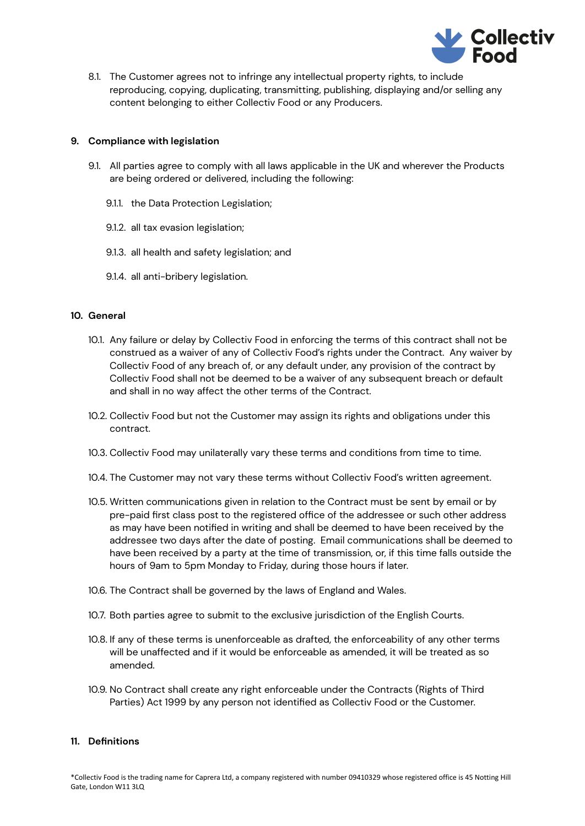

8.1. The Customer agrees not to infringe any intellectual property rights, to include reproducing, copying, duplicating, transmitting, publishing, displaying and/or selling any content belonging to either Collectiv Food or any Producers.

### **9. Compliance with legislation**

- 9.1. All parties agree to comply with all laws applicable in the UK and wherever the Products are being ordered or delivered, including the following:
	- 9.1.1. the Data Protection Legislation;
	- 9.1.2. all tax evasion legislation;
	- 9.1.3. all health and safety legislation; and
	- 9.1.4. all anti-bribery legislation.

### **10. General**

- 10.1. Any failure or delay by Collectiv Food in enforcing the terms of this contract shall not be construed as a waiver of any of Collectiv Food's rights under the Contract. Any waiver by Collectiv Food of any breach of, or any default under, any provision of the contract by Collectiv Food shall not be deemed to be a waiver of any subsequent breach or default and shall in no way affect the other terms of the Contract.
- 10.2. Collectiv Food but not the Customer may assign its rights and obligations under this contract.
- 10.3. Collectiv Food may unilaterally vary these terms and conditions from time to time.
- 10.4. The Customer may not vary these terms without Collectiv Food's written agreement.
- 10.5. Written communications given in relation to the Contract must be sent by email or by pre-paid first class post to the registered office of the addressee or such other address as may have been notified in writing and shall be deemed to have been received by the addressee two days after the date of posting. Email communications shall be deemed to have been received by a party at the time of transmission, or, if this time falls outside the hours of 9am to 5pm Monday to Friday, during those hours if later.
- 10.6. The Contract shall be governed by the laws of England and Wales.
- 10.7. Both parties agree to submit to the exclusive jurisdiction of the English Courts.
- 10.8. If any of these terms is unenforceable as drafted, the enforceability of any other terms will be unaffected and if it would be enforceable as amended, it will be treated as so amended.
- 10.9. No Contract shall create any right enforceable under the Contracts (Rights of Third Parties) Act 1999 by any person not identified as Collectiv Food or the Customer.

#### **11. Definitions**